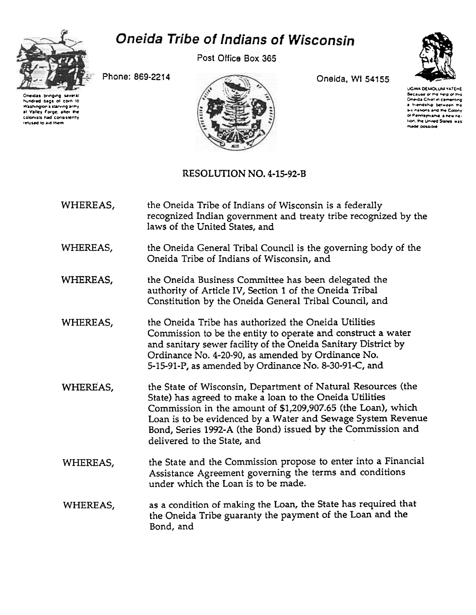

## Oneida Tribe of Indians of Wisconsin

Post Office Box 365



Phone: 869-2214

.<br>Oneidas bringing several<br>hundred bags of corn to Washington's starving army at Valley Forge, after the colonists had consistently elused to aid them



Oneida, WI 54155

**UGWA DEMOLUM YATEHE** Because of the help of this<br>Oneida Chief in cementing a friendship between the six nations and the Colony ol Pennsylvania a new nation, the United States was made possible

## RESOLUTION NO. 4-15-92-B

- WHEREAS, the Oneida Tribe of Indians of Wisconsin is a federally recognized Indian government and treaty tribe recognized by the laws of the United States, and WHEREAS, the Oneida General Tribal Council is the governing body of the Oneida Tribe of Indians of Wisconsin, and the Oneida Business Committee has been delegated the WHEREAS, authority of Article IV, Section 1 of the Oneida Tribal Constitution by the Oneida General Tribal Council, and
- the Oneida Tribe has authorized the Oneida Utilities WHEREAS, Commission to be the entity to operate and construct a water and sanitary sewer facility of the Oneida Sanitary District by Ordinance No. 4-20-90, as amended by Ordinance No. 5-15-91-P, as amended by Ordinance No. 8-30-91-C, and
- the State of Wisconsin, Department of Natural Resources (the WHEREAS, State) has agreed to make a loan to the Oneida Utilities Commission in the amount of \$1,209,907.65 (the Loan), which Loan is to be evidenced by a Water and Sewage System Revenue Bond, Series 1992-A (the Bond) issued by the Commission and delivered to the State, and
- the State and the Commission propose to enter into a Financial WHEREAS, Assistance Agreement governing the terms and conditions under which the Loan is to be made.
- as a condition of making the Loan, the State has required that WHEREAS, the Oneida Tribe guaranty the payment of the Loan and the Bond, and